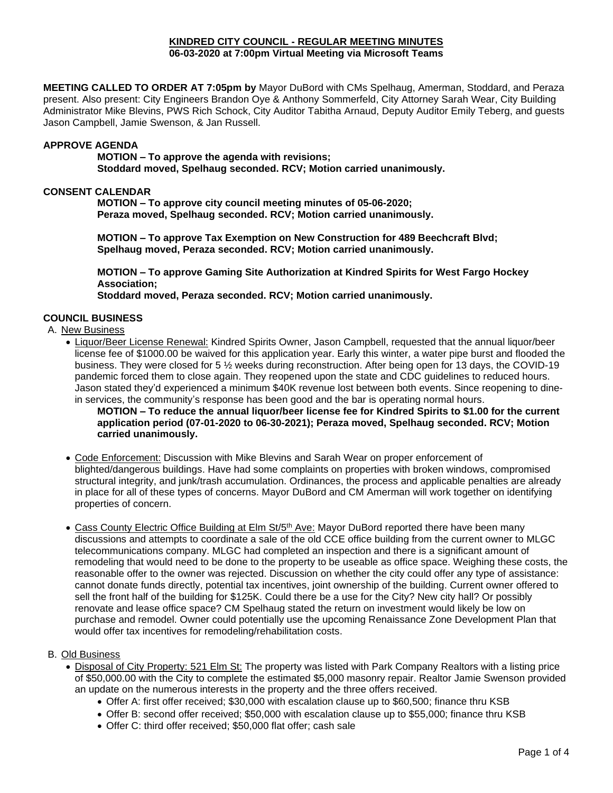#### **KINDRED CITY COUNCIL - REGULAR MEETING MINUTES 06-03-2020 at 7:00pm Virtual Meeting via Microsoft Teams**

**MEETING CALLED TO ORDER AT 7:05pm by** Mayor DuBord with CMs Spelhaug, Amerman, Stoddard, and Peraza present. Also present: City Engineers Brandon Oye & Anthony Sommerfeld, City Attorney Sarah Wear, City Building Administrator Mike Blevins, PWS Rich Schock, City Auditor Tabitha Arnaud, Deputy Auditor Emily Teberg, and guests Jason Campbell, Jamie Swenson, & Jan Russell.

#### **APPROVE AGENDA**

**MOTION – To approve the agenda with revisions; Stoddard moved, Spelhaug seconded. RCV; Motion carried unanimously.** 

## **CONSENT CALENDAR**

**MOTION – To approve city council meeting minutes of 05-06-2020; Peraza moved, Spelhaug seconded. RCV; Motion carried unanimously.**

**MOTION – To approve Tax Exemption on New Construction for 489 Beechcraft Blvd; Spelhaug moved, Peraza seconded. RCV; Motion carried unanimously.**

**MOTION – To approve Gaming Site Authorization at Kindred Spirits for West Fargo Hockey Association;**

**Stoddard moved, Peraza seconded. RCV; Motion carried unanimously.**

## **COUNCIL BUSINESS**

A. New Business

- Liquor/Beer License Renewal: Kindred Spirits Owner, Jason Campbell, requested that the annual liquor/beer license fee of \$1000.00 be waived for this application year. Early this winter, a water pipe burst and flooded the business. They were closed for 5 ½ weeks during reconstruction. After being open for 13 days, the COVID-19 pandemic forced them to close again. They reopened upon the state and CDC guidelines to reduced hours. Jason stated they'd experienced a minimum \$40K revenue lost between both events. Since reopening to dinein services, the community's response has been good and the bar is operating normal hours.
	- **MOTION – To reduce the annual liquor/beer license fee for Kindred Spirits to \$1.00 for the current application period (07-01-2020 to 06-30-2021); Peraza moved, Spelhaug seconded. RCV; Motion carried unanimously.**
- Code Enforcement: Discussion with Mike Blevins and Sarah Wear on proper enforcement of blighted/dangerous buildings. Have had some complaints on properties with broken windows, compromised structural integrity, and junk/trash accumulation. Ordinances, the process and applicable penalties are already in place for all of these types of concerns. Mayor DuBord and CM Amerman will work together on identifying properties of concern.
- Cass County Electric Office Building at Elm St/5<sup>th</sup> Ave: Mayor DuBord reported there have been many discussions and attempts to coordinate a sale of the old CCE office building from the current owner to MLGC telecommunications company. MLGC had completed an inspection and there is a significant amount of remodeling that would need to be done to the property to be useable as office space. Weighing these costs, the reasonable offer to the owner was rejected. Discussion on whether the city could offer any type of assistance: cannot donate funds directly, potential tax incentives, joint ownership of the building. Current owner offered to sell the front half of the building for \$125K. Could there be a use for the City? New city hall? Or possibly renovate and lease office space? CM Spelhaug stated the return on investment would likely be low on purchase and remodel. Owner could potentially use the upcoming Renaissance Zone Development Plan that would offer tax incentives for remodeling/rehabilitation costs.

#### B. Old Business

- Disposal of City Property: 521 Elm St: The property was listed with Park Company Realtors with a listing price of \$50,000.00 with the City to complete the estimated \$5,000 masonry repair. Realtor Jamie Swenson provided an update on the numerous interests in the property and the three offers received.
	- Offer A: first offer received; \$30,000 with escalation clause up to \$60,500; finance thru KSB
	- Offer B: second offer received; \$50,000 with escalation clause up to \$55,000; finance thru KSB
	- Offer C: third offer received; \$50,000 flat offer; cash sale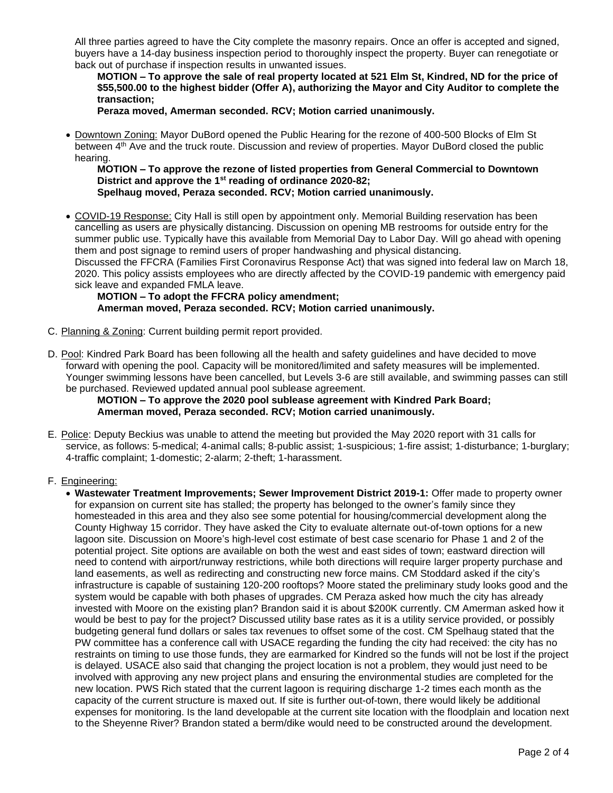All three parties agreed to have the City complete the masonry repairs. Once an offer is accepted and signed, buyers have a 14-day business inspection period to thoroughly inspect the property. Buyer can renegotiate or back out of purchase if inspection results in unwanted issues.

**MOTION – To approve the sale of real property located at 521 Elm St, Kindred, ND for the price of \$55,500.00 to the highest bidder (Offer A), authorizing the Mayor and City Auditor to complete the transaction;**

**Peraza moved, Amerman seconded. RCV; Motion carried unanimously.**

• Downtown Zoning: Mayor DuBord opened the Public Hearing for the rezone of 400-500 Blocks of Elm St between 4th Ave and the truck route. Discussion and review of properties. Mayor DuBord closed the public hearing.

**MOTION – To approve the rezone of listed properties from General Commercial to Downtown District and approve the 1st reading of ordinance 2020-82; Spelhaug moved, Peraza seconded. RCV; Motion carried unanimously.**

• COVID-19 Response: City Hall is still open by appointment only. Memorial Building reservation has been cancelling as users are physically distancing. Discussion on opening MB restrooms for outside entry for the summer public use. Typically have this available from Memorial Day to Labor Day. Will go ahead with opening them and post signage to remind users of proper handwashing and physical distancing. Discussed the FFCRA (Families First Coronavirus Response Act) that was signed into federal law on March 18, 2020. This policy assists employees who are directly affected by the COVID-19 pandemic with emergency paid

sick leave and expanded FMLA leave. **MOTION – To adopt the FFCRA policy amendment; Amerman moved, Peraza seconded. RCV; Motion carried unanimously.**

- C. Planning & Zoning: Current building permit report provided.
- D. Pool: Kindred Park Board has been following all the health and safety guidelines and have decided to move forward with opening the pool. Capacity will be monitored/limited and safety measures will be implemented. Younger swimming lessons have been cancelled, but Levels 3-6 are still available, and swimming passes can still be purchased. Reviewed updated annual pool sublease agreement.

**MOTION – To approve the 2020 pool sublease agreement with Kindred Park Board; Amerman moved, Peraza seconded. RCV; Motion carried unanimously.**

E. Police: Deputy Beckius was unable to attend the meeting but provided the May 2020 report with 31 calls for service, as follows: 5-medical; 4-animal calls; 8-public assist; 1-suspicious; 1-fire assist; 1-disturbance; 1-burglary; 4-traffic complaint; 1-domestic; 2-alarm; 2-theft; 1-harassment.

# F. Engineering:

• **Wastewater Treatment Improvements; Sewer Improvement District 2019-1:** Offer made to property owner for expansion on current site has stalled; the property has belonged to the owner's family since they homesteaded in this area and they also see some potential for housing/commercial development along the County Highway 15 corridor. They have asked the City to evaluate alternate out-of-town options for a new lagoon site. Discussion on Moore's high-level cost estimate of best case scenario for Phase 1 and 2 of the potential project. Site options are available on both the west and east sides of town; eastward direction will need to contend with airport/runway restrictions, while both directions will require larger property purchase and land easements, as well as redirecting and constructing new force mains. CM Stoddard asked if the city's infrastructure is capable of sustaining 120-200 rooftops? Moore stated the preliminary study looks good and the system would be capable with both phases of upgrades. CM Peraza asked how much the city has already invested with Moore on the existing plan? Brandon said it is about \$200K currently. CM Amerman asked how it would be best to pay for the project? Discussed utility base rates as it is a utility service provided, or possibly budgeting general fund dollars or sales tax revenues to offset some of the cost. CM Spelhaug stated that the PW committee has a conference call with USACE regarding the funding the city had received: the city has no restraints on timing to use those funds, they are earmarked for Kindred so the funds will not be lost if the project is delayed. USACE also said that changing the project location is not a problem, they would just need to be involved with approving any new project plans and ensuring the environmental studies are completed for the new location. PWS Rich stated that the current lagoon is requiring discharge 1-2 times each month as the capacity of the current structure is maxed out. If site is further out-of-town, there would likely be additional expenses for monitoring. Is the land developable at the current site location with the floodplain and location next to the Sheyenne River? Brandon stated a berm/dike would need to be constructed around the development.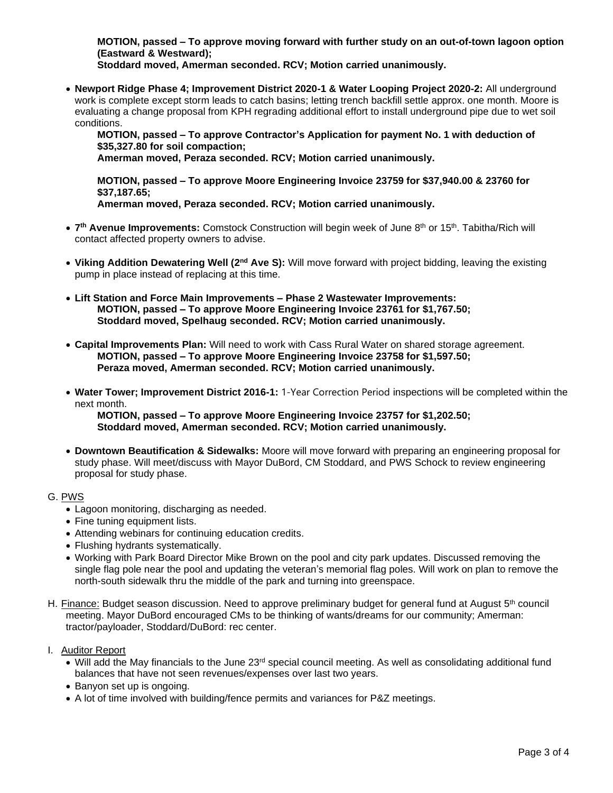**MOTION, passed – To approve moving forward with further study on an out-of-town lagoon option (Eastward & Westward);**

**Stoddard moved, Amerman seconded. RCV; Motion carried unanimously.**

• **Newport Ridge Phase 4; Improvement District 2020-1 & Water Looping Project 2020-2:** All underground work is complete except storm leads to catch basins; letting trench backfill settle approx. one month. Moore is evaluating a change proposal from KPH regrading additional effort to install underground pipe due to wet soil conditions.

**MOTION, passed – To approve Contractor's Application for payment No. 1 with deduction of \$35,327.80 for soil compaction;**

**Amerman moved, Peraza seconded. RCV; Motion carried unanimously.**

**MOTION, passed – To approve Moore Engineering Invoice 23759 for \$37,940.00 & 23760 for \$37,187.65;**

- **Amerman moved, Peraza seconded. RCV; Motion carried unanimously.**
- 7<sup>th</sup> Avenue Improvements: Comstock Construction will begin week of June 8<sup>th</sup> or 15<sup>th</sup>. Tabitha/Rich will contact affected property owners to advise.
- **Viking Addition Dewatering Well (2nd Ave S):** Will move forward with project bidding, leaving the existing pump in place instead of replacing at this time.
- **Lift Station and Force Main Improvements – Phase 2 Wastewater Improvements: MOTION, passed – To approve Moore Engineering Invoice 23761 for \$1,767.50; Stoddard moved, Spelhaug seconded. RCV; Motion carried unanimously.**
- **Capital Improvements Plan:** Will need to work with Cass Rural Water on shared storage agreement. **MOTION, passed – To approve Moore Engineering Invoice 23758 for \$1,597.50; Peraza moved, Amerman seconded. RCV; Motion carried unanimously.**
- **Water Tower; Improvement District 2016-1:** 1-Year Correction Period inspections will be completed within the next month.

**MOTION, passed – To approve Moore Engineering Invoice 23757 for \$1,202.50; Stoddard moved, Amerman seconded. RCV; Motion carried unanimously.** 

• **Downtown Beautification & Sidewalks:** Moore will move forward with preparing an engineering proposal for study phase. Will meet/discuss with Mayor DuBord, CM Stoddard, and PWS Schock to review engineering proposal for study phase.

# G. PWS

- Lagoon monitoring, discharging as needed.
- Fine tuning equipment lists.
- Attending webinars for continuing education credits.
- Flushing hydrants systematically.
- Working with Park Board Director Mike Brown on the pool and city park updates. Discussed removing the single flag pole near the pool and updating the veteran's memorial flag poles. Will work on plan to remove the north-south sidewalk thru the middle of the park and turning into greenspace.
- H. Finance: Budget season discussion. Need to approve preliminary budget for general fund at August  $5<sup>th</sup>$  council meeting. Mayor DuBord encouraged CMs to be thinking of wants/dreams for our community; Amerman: tractor/payloader, Stoddard/DuBord: rec center.
- I. Auditor Report
	- Will add the May financials to the June 23rd special council meeting. As well as consolidating additional fund balances that have not seen revenues/expenses over last two years.
	- Banyon set up is ongoing.
	- A lot of time involved with building/fence permits and variances for P&Z meetings.